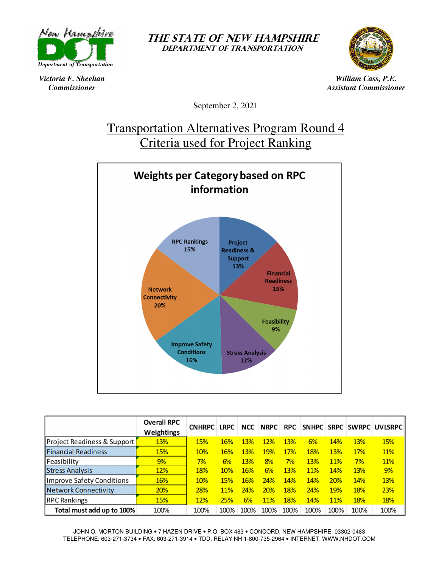

*Victoria F. Sheehan Commissioner* 

THE STATE OF NEW HAMPSHIRE DEPARTMENT OF TRANSPORTATION



*William Cass, P.E. Assistant Commissioner* 

September 2, 2021

# Transportation Alternatives Program Round 4 Criteria used for Project Ranking



|                             | <b>Overall RPC</b><br>Weightings | <b>CNHRPC</b> | <b>LRPC</b> | <b>NCC</b> | <b>NRPC</b> | <b>RPC</b> |            |      |      | SNHPC SRPC SWRPC UVLSRPC |
|-----------------------------|----------------------------------|---------------|-------------|------------|-------------|------------|------------|------|------|--------------------------|
| Project Readiness & Support | 13%                              | 15%           | 16%         | 13%        | 12%         | 13%        | 6%         | 14%  | 13%  | 15%                      |
| <b>Financial Readiness</b>  | 15%                              | 10%           | 16%         | 13%        | 19%         | 17%        | 18%        | 13%  | 17%  | <b>11%</b>               |
| Feasibility                 | 9%                               | 7%            | 6%          | 13%        | 8%          | 7%         | 13%        | 11%  | 7%   | 11%                      |
| <b>Stress Analysis</b>      | 12%                              | 18%           | 10%         | 16%        | 6%          | 13%        | <b>11%</b> | 14%  | 13%  | 9%                       |
| Improve Safety Conditions   | 16%                              | 10%           | 15%         | 16%        | 24%         | 14%        | 14%        | 20%  | 14%  | 13%                      |
| <b>Network Connectivity</b> | 20%                              | 28%           | <b>11%</b>  | 24%        | 20%         | 18%        | 24%        | 19%  | 18%  | 23%                      |
| <b>RPC Rankings</b>         | 15%                              | 12%           | 25%         | 6%         | <b>11%</b>  | 18%        | 14%        | 11%  | 18%  | 18%                      |
| Total must add up to 100%   | 100%                             | 100%          | 100%        | 100%       | 100%        | 100%       | 100%       | 100% | 100% | 100%                     |

JOHN O. MORTON BUILDING • 7 HAZEN DRIVE • P.O. BOX 483 • CONCORD, NEW HAMPSHIRE 03302-0483 TELEPHONE: 603-271-3734 • FAX: 603-271-3914 • TDD: RELAY NH 1-800-735-2964 • INTERNET: WWW.NHDOT.COM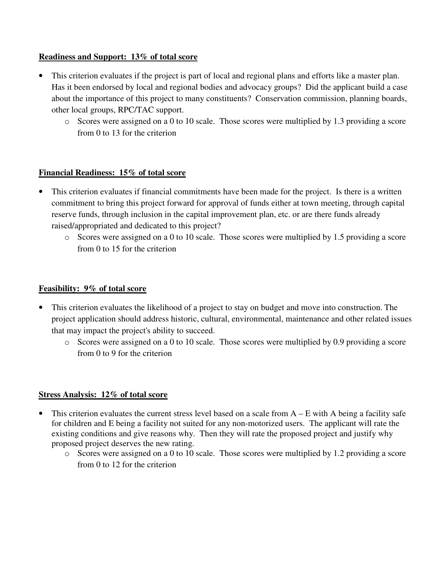## **Readiness and Support: 13% of total score**

- This criterion evaluates if the project is part of local and regional plans and efforts like a master plan. Has it been endorsed by local and regional bodies and advocacy groups? Did the applicant build a case about the importance of this project to many constituents? Conservation commission, planning boards, other local groups, RPC/TAC support.
	- o Scores were assigned on a 0 to 10 scale. Those scores were multiplied by 1.3 providing a score from 0 to 13 for the criterion

## **Financial Readiness: 15% of total score**

- This criterion evaluates if financial commitments have been made for the project. Is there is a written commitment to bring this project forward for approval of funds either at town meeting, through capital reserve funds, through inclusion in the capital improvement plan, etc. or are there funds already raised/appropriated and dedicated to this project?
	- o Scores were assigned on a 0 to 10 scale. Those scores were multiplied by 1.5 providing a score from 0 to 15 for the criterion

### **Feasibility: 9% of total score**

- This criterion evaluates the likelihood of a project to stay on budget and move into construction. The project application should address historic, cultural, environmental, maintenance and other related issues that may impact the project's ability to succeed.
	- o Scores were assigned on a 0 to 10 scale. Those scores were multiplied by 0.9 providing a score from 0 to 9 for the criterion

#### **Stress Analysis: 12% of total score**

- This criterion evaluates the current stress level based on a scale from  $A E$  with A being a facility safe for children and E being a facility not suited for any non-motorized users. The applicant will rate the existing conditions and give reasons why. Then they will rate the proposed project and justify why proposed project deserves the new rating.
	- o Scores were assigned on a 0 to 10 scale. Those scores were multiplied by 1.2 providing a score from 0 to 12 for the criterion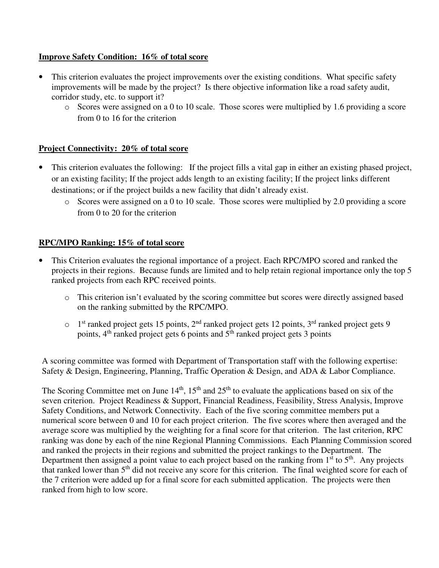### **Improve Safety Condition: 16% of total score**

- This criterion evaluates the project improvements over the existing conditions. What specific safety improvements will be made by the project? Is there objective information like a road safety audit, corridor study, etc. to support it?
	- o Scores were assigned on a 0 to 10 scale. Those scores were multiplied by 1.6 providing a score from 0 to 16 for the criterion

## **Project Connectivity: 20% of total score**

- This criterion evaluates the following: If the project fills a vital gap in either an existing phased project, or an existing facility; If the project adds length to an existing facility; If the project links different destinations; or if the project builds a new facility that didn't already exist.
	- o Scores were assigned on a 0 to 10 scale. Those scores were multiplied by 2.0 providing a score from 0 to 20 for the criterion

## **RPC/MPO Ranking: 15% of total score**

- This Criterion evaluates the regional importance of a project. Each RPC/MPO scored and ranked the projects in their regions. Because funds are limited and to help retain regional importance only the top 5 ranked projects from each RPC received points.
	- o This criterion isn't evaluated by the scoring committee but scores were directly assigned based on the ranking submitted by the RPC/MPO.
	- $\circ$  1<sup>st</sup> ranked project gets 15 points, 2<sup>nd</sup> ranked project gets 12 points, 3<sup>rd</sup> ranked project gets 9 points,  $4<sup>th</sup>$  ranked project gets 6 points and  $5<sup>th</sup>$  ranked project gets 3 points

A scoring committee was formed with Department of Transportation staff with the following expertise: Safety & Design, Engineering, Planning, Traffic Operation & Design, and ADA & Labor Compliance.

The Scoring Committee met on June  $14<sup>th</sup>$ ,  $15<sup>th</sup>$  and  $25<sup>th</sup>$  to evaluate the applications based on six of the seven criterion. Project Readiness & Support, Financial Readiness, Feasibility, Stress Analysis, Improve Safety Conditions, and Network Connectivity. Each of the five scoring committee members put a numerical score between 0 and 10 for each project criterion. The five scores where then averaged and the average score was multiplied by the weighting for a final score for that criterion. The last criterion, RPC ranking was done by each of the nine Regional Planning Commissions. Each Planning Commission scored and ranked the projects in their regions and submitted the project rankings to the Department. The Department then assigned a point value to each project based on the ranking from  $1<sup>st</sup>$  to  $5<sup>th</sup>$ . Any projects that ranked lower than 5<sup>th</sup> did not receive any score for this criterion. The final weighted score for each of the 7 criterion were added up for a final score for each submitted application. The projects were then ranked from high to low score.